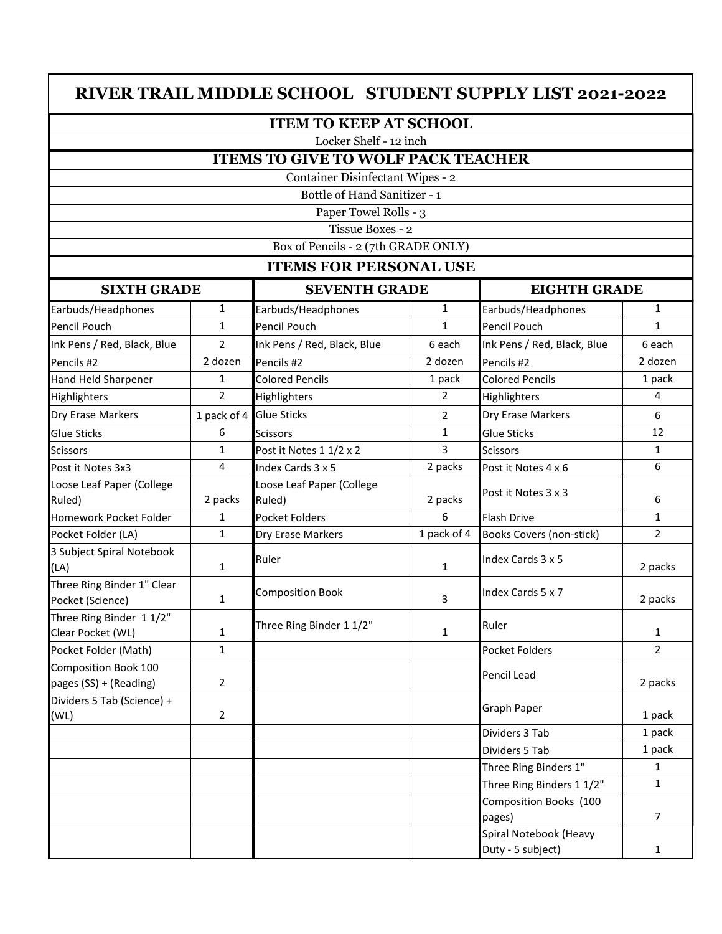## **RIVER TRAIL MIDDLE SCHOOL STUDENT SUPPLY LIST 2021-2022**

## **ITEM TO KEEP AT SCHOOL**

Locker Shelf - 12 inch

## **ITEMS TO GIVE TO WOLF PACK TEACHER**

Container Disinfectant Wipes - 2

Bottle of Hand Sanitizer - 1

Paper Towel Rolls - 3

Tissue Boxes - 2

Box of Pencils - 2 (7th GRADE ONLY)

## **ITEMS FOR PERSONAL USE**

| <b>SIXTH GRADE</b>                             |                | <b>SEVENTH GRADE</b>                |                | <b>EIGHTH GRADE</b>              |                |
|------------------------------------------------|----------------|-------------------------------------|----------------|----------------------------------|----------------|
| Earbuds/Headphones                             | $\mathbf{1}$   | Earbuds/Headphones                  | $\mathbf{1}$   | Earbuds/Headphones               | $\mathbf{1}$   |
| Pencil Pouch                                   | $\mathbf{1}$   | Pencil Pouch                        | $\mathbf{1}$   | <b>Pencil Pouch</b>              | $\mathbf{1}$   |
| Ink Pens / Red, Black, Blue                    | $\overline{2}$ | Ink Pens / Red, Black, Blue         | 6 each         | Ink Pens / Red, Black, Blue      | 6 each         |
| Pencils #2                                     | 2 dozen        | Pencils #2                          | 2 dozen        | Pencils #2                       | 2 dozen        |
| Hand Held Sharpener                            | 1              | <b>Colored Pencils</b>              | 1 pack         | <b>Colored Pencils</b>           | 1 pack         |
| Highlighters                                   | $\overline{2}$ | Highlighters                        | $\overline{2}$ | Highlighters                     | 4              |
| Dry Erase Markers                              | 1 pack of 4    | <b>Glue Sticks</b>                  | $\overline{2}$ | Dry Erase Markers                | 6              |
| <b>Glue Sticks</b>                             | 6              | <b>Scissors</b>                     | 1              | Glue Sticks                      | 12             |
| <b>Scissors</b>                                | $\mathbf{1}$   | Post it Notes 1 1/2 x 2             | 3              | <b>Scissors</b>                  | $\mathbf{1}$   |
| Post it Notes 3x3                              | $\overline{4}$ | Index Cards 3 x 5                   | 2 packs        | Post it Notes 4 x 6              | 6              |
| Loose Leaf Paper (College<br>Ruled)            | 2 packs        | Loose Leaf Paper (College<br>Ruled) | 2 packs        | Post it Notes 3 x 3              | 6              |
| Homework Pocket Folder                         | $\mathbf{1}$   | <b>Pocket Folders</b>               | 6              | <b>Flash Drive</b>               | $\mathbf{1}$   |
| Pocket Folder (LA)                             | $\mathbf{1}$   | Dry Erase Markers                   | 1 pack of 4    | <b>Books Covers (non-stick)</b>  | $\overline{2}$ |
| 3 Subject Spiral Notebook<br>(LA)              | $\mathbf{1}$   | Ruler                               | $\mathbf{1}$   | Index Cards 3 x 5                | 2 packs        |
| Three Ring Binder 1" Clear<br>Pocket (Science) | $\mathbf{1}$   | <b>Composition Book</b>             | 3              | Index Cards 5 x 7                | 2 packs        |
| Three Ring Binder 11/2"<br>Clear Pocket (WL)   | $\mathbf{1}$   | Three Ring Binder 1 1/2"            | $\mathbf{1}$   | Ruler                            | $\mathbf{1}$   |
| Pocket Folder (Math)                           | $\mathbf{1}$   |                                     |                | <b>Pocket Folders</b>            | $\overline{2}$ |
| Composition Book 100<br>pages (SS) + (Reading) | $\overline{2}$ |                                     |                | Pencil Lead                      | 2 packs        |
| Dividers 5 Tab (Science) +<br>(WL)             | $\overline{2}$ |                                     |                | Graph Paper                      | 1 pack         |
|                                                |                |                                     |                | Dividers 3 Tab                   | 1 pack         |
|                                                |                |                                     |                | Dividers 5 Tab                   | 1 pack         |
|                                                |                |                                     |                | Three Ring Binders 1"            | $\mathbf{1}$   |
|                                                |                |                                     |                | Three Ring Binders 1 1/2"        | $\mathbf{1}$   |
|                                                |                |                                     |                | Composition Books (100<br>pages) | $\overline{7}$ |
|                                                |                |                                     |                | Spiral Notebook (Heavy           |                |
|                                                |                |                                     |                | Duty - 5 subject)                | $\mathbf{1}$   |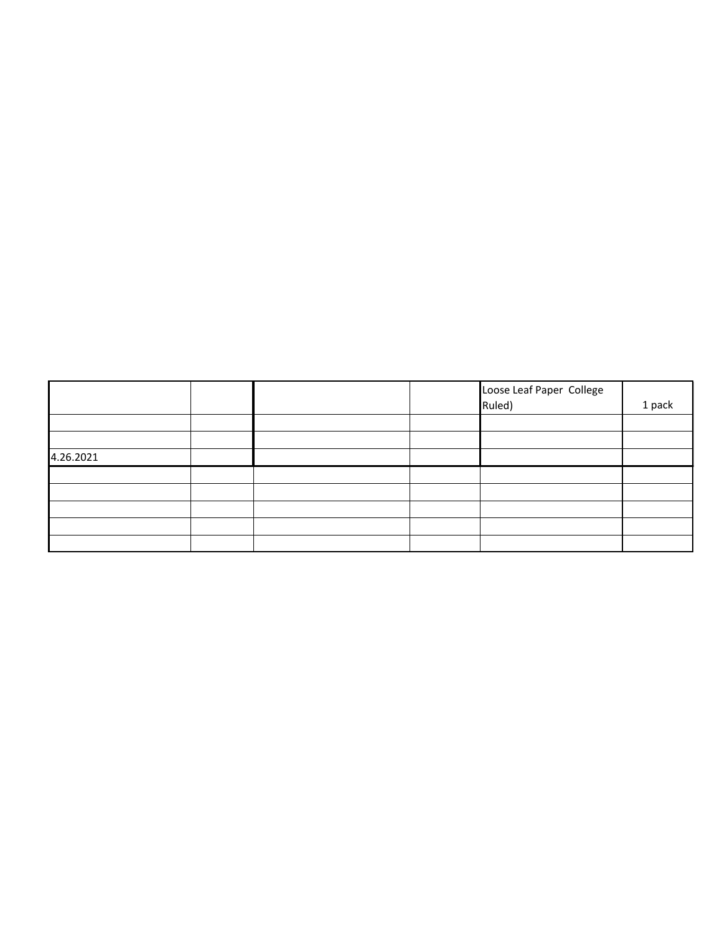|           |  | Loose Leaf Paper College<br>Ruled) | 1 pack |
|-----------|--|------------------------------------|--------|
|           |  |                                    |        |
|           |  |                                    |        |
| 4.26.2021 |  |                                    |        |
|           |  |                                    |        |
|           |  |                                    |        |
|           |  |                                    |        |
|           |  |                                    |        |
|           |  |                                    |        |